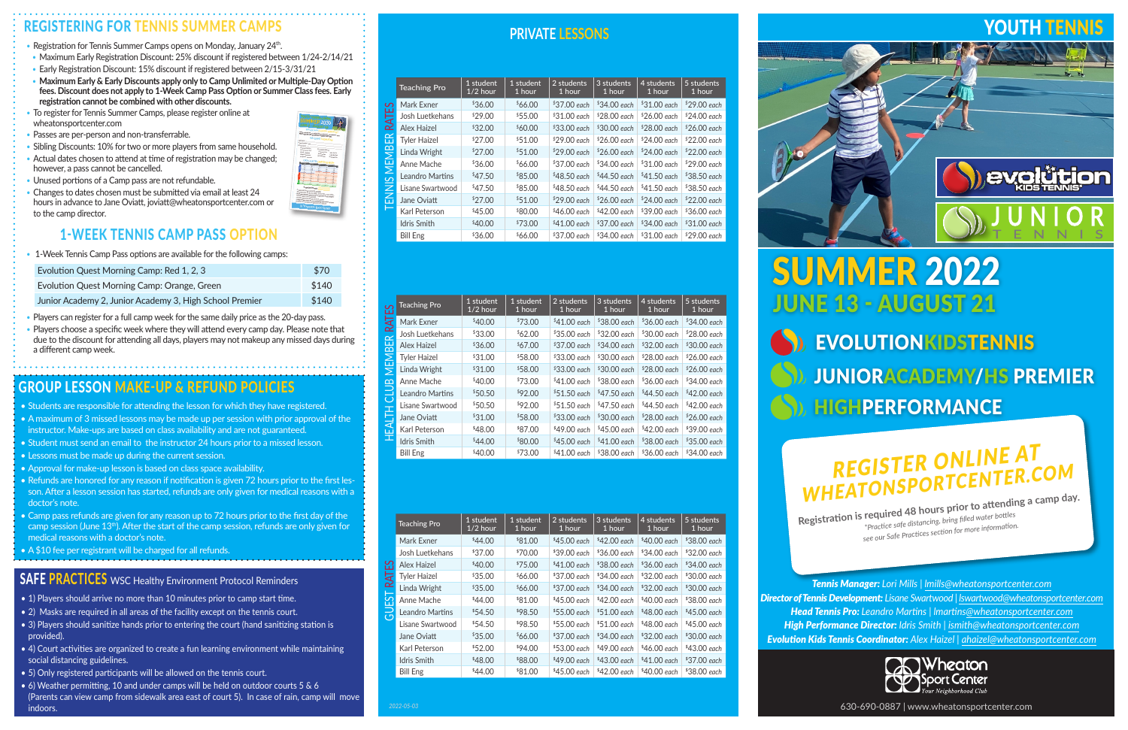# SUMMER 2022 JUNE 13 - AUGUST 21

YOUTH TENNIS

evolütion

S) EVOLUTIONKIDSTENNIS JUNIORACADEMY/HS PREMIER HIGHPERFORMANCE

# REGISTER ONLINE AT<br>WHEATONSPORTCENTER.COM

**Registration is required 48 hours prior to attending a camp day.** *\*Practice safe distancing, bring filled water bottles see our Safe Practices section for more information.*

*Tennis Manager: Lori Mills | lmills@wheatonsportcenter.com Director of Tennis Development: Lisane Swartwood | lswartwood@wheatonsportcenter.com Head Tennis Pro: Leandro Martins | lmartins@wheatonsportcenter.com High Performance Director: Idris Smith | ismith@wheatonsportcenter.com Evolution Kids Tennis Coordinator: Alex Haizel | ahaizel@wheatonsportcenter.com*



630-690-0887 | www.wheatonsportcenter.com

# REGISTERING FOR TENNIS SUMMER CAMPS

- Registration for Tennis Summer Camps opens on Monday, January 24<sup>th</sup>.
- *•* Maximum Early Registration Discount: 25% discount if registered between 1/24-2/14/21
- *•* Early Registration Discount: 15% discount if registered between 2/15-3/31/21
- *•* **Maximum Early & Early Discounts apply only to Camp Unlimited or Multiple-Day Option fees. Discount does not apply to 1-Week Camp Pass Option or Summer Class fees. Early registration cannot be combined with other discounts.**
- *•* To register for Tennis Summer Camps, please register online at wheatonsportcenter.com
- *•* Passes are per-person and non-transferrable.
- *•* Sibling Discounts: 10% for two or more players from same household.
- Actual dates chosen to attend at time of registration may be changed; however, a pass cannot be cancelled.
- *•* Unused portions of a Camp pass are not refundable.
- *•* Changes to dates chosen must be submitted via email at least 24 hours in advance to Jane Oviatt, joviatt@wheatonsportcenter.com or to the camp director.

# 1-WEEK TENNIS CAMP PASS OPTION

*•* 1-Week Tennis Camp Pass options are available for the following camps:

| Evolution Quest Morning Camp: Red 1, 2, 3               | \$70  |
|---------------------------------------------------------|-------|
| Evolution Quest Morning Camp: Orange, Green             | \$140 |
| Junior Academy 2, Junior Academy 3, High School Premier | \$140 |

*•* Players can register for a full camp week for the same daily price as the 20-day pass.

*•* Players choose a specific week where they will attend every camp day. Please note that due to the discount for attending all days, players may not makeup any missed days during a different camp week.

# GROUP LESSON MAKE-UP & REFUND POLICIES

- Students are responsible for attending the lesson for which they have registered.
- A maximum of 3 missed lessons may be made up per session with prior approval of the instructor. Make-ups are based on class availability and are not guaranteed.
- Student must send an email to the instructor 24 hours prior to a missed lesson.
- Lessons must be made up during the current session.
- Approval for make-up lesson is based on class space availability.
- Refunds are honored for any reason if notification is given 72 hours prior to the first lesson. After a lesson session has started, refunds are only given for medical reasons with a doctor's note.
- Camp pass refunds are given for any reason up to 72 hours prior to the first day of the camp session (June 13<sup>th</sup>). After the start of the camp session, refunds are only given for medical reasons with a doctor's note.
- A \$10 fee per registrant will be charged for all refunds.

## **SAFE PRACTICES** WSC Healthy Environment Protocol Reminders

- 1) Players should arrive no more than 10 minutes prior to camp start time.
- 2) Masks are required in all areas of the facility except on the tennis court.
- 3) Players should sanitize hands prior to entering the court (hand sanitizing station is provided).
- 4) Court activities are organized to create a fun learning environment while maintaining social distancing guidelines.
- 5) Only registered participants will be allowed on the tennis court.
- $\bullet$  6) Weather permitting, 10 and under camps will be held on outdoor courts 5 & 6 (Parents can view camp from sidewalk area east of court 5). In case of rain, camp will move indoors.

# **PRIVATE LESSONS**



|               | <b>Teaching Pro</b> | 1 student<br>$1/2$ hour | 1 student<br>1 hour | 2 students<br>1 hour | 3 students<br>1 hour | 4 students<br>1 hour | 5 students<br>1 hour     |
|---------------|---------------------|-------------------------|---------------------|----------------------|----------------------|----------------------|--------------------------|
| $\sigma$<br>ш | Mark Exner          | \$36.00                 | \$66.00             | $$37.00$ each        | $$34.00$ each        | $$31.00$ each        | $$29.00$ each            |
| RATI          | Josh Luetkehans     | \$29.00                 | \$55.00             | $$31.00$ each        | $$28.00$ each        | $$26.00$ each        | <sup>\$</sup> 24.00 each |
|               | Alex Haizel         | \$32.00                 | \$60.00             | $$33.00$ each        | $$30.00$ each        | $$28.00$ each        | $$26.00$ each            |
| 띥             | <b>Tyler Haizel</b> | \$27.00                 | \$51.00             | $$29.00$ each        | $$26.00$ each        | $$24.00$ each        | $$22.00$ each            |
| <b>MEMBI</b>  | Linda Wright        | \$27.00                 | \$51.00             | $$29.00$ each        | $$26.00$ each        | $$24.00$ each        | $$22.00$ each            |
|               | Anne Mache          | \$36.00                 | \$66.00             | $$37.00$ each        | $$34.00$ each        | $$31.00$ each        | $$29.00$ each            |
| $\sim$        | Leandro Martins     | \$47.50                 | \$85.00             | \$48.50 each         | $$44.50$ each        | $$41.50$ each        | $$38.50$ each            |
| ₹             | Lisane Swartwood    | \$47.50                 | \$85.00             | $$48.50$ each        | $$44.50$ each        | $$41.50$ each        | $$38.50$ each            |
| 叾             | Jane Oviatt         | \$27.00                 | \$51.00             | $$29.00$ each        | $$26.00$ each        | $$24.00$ each        | $$22.00$ each            |
|               | Karl Peterson       | \$45.00                 | \$80.00             | \$46.00 each         | $$42.00$ each        | $$39.00$ each        | <sup>\$</sup> 36.00 each |
|               | <b>Idris Smith</b>  | \$40.00                 | \$73.00             | $$41.00$ each        | $$37.00$ each        | $$34.00$ each        | $$31.00$ each            |
|               | <b>Bill Eng</b>     | \$36.00                 | \$66.00             | $$37.00$ each        | $$34.00$ each        | $$31.00$ each        | $$29.00$ each            |

|                    | Mark Exner          | °36.UU                  | $0.00*$             | °37.UU each            | °34.UU each          | °31.UU each          | °29.UU each          |
|--------------------|---------------------|-------------------------|---------------------|------------------------|----------------------|----------------------|----------------------|
| <b>RATES</b>       | Josh Luetkehans     | \$29.00                 | \$55.00             | \$31.00 each           | \$28.00 each         | $$26.00$ each        | \$24.00 each         |
|                    | Alex Haizel         | \$32.00                 | \$60.00             | \$33.00 each           | \$30.00 each         | \$28.00 each         | \$26.00 each         |
| ENNIS MEMBER       | <b>Tyler Haizel</b> | \$27.00                 | \$51.00             | $$29.00$ each          | $$26.00$ each        | \$24.00 each         | $$22.00$ each        |
|                    | Linda Wright        | \$27.00                 | \$51.00             | \$29.00 each           | \$26.00 each         | \$24.00 each         | $$22.00$ each        |
|                    | Anne Mache          | \$36.00                 | \$66.00             | \$37.00 each           | \$34.00 each         | \$31.00 each         | $$29.00$ each        |
|                    | Leandro Martins     | \$47.50                 | \$85.00             | $$48.50$ each          | \$44.50 each         | \$41.50 each         | \$38.50 each         |
|                    | Lisane Swartwood    | \$47.50                 | \$85.00             | $$48.50$ each          | \$44.50 each         | $$41.50$ each        | \$38.50 each         |
|                    | Jane Oviatt         | \$27.00                 | \$51.00             | $$29.00$ each          | \$26.00 each         | \$24.00 each         | \$22.00 each         |
|                    | Karl Peterson       | \$45.00                 | \$80.00             | $$46.00$ each          | \$42.00 each         | \$39.00 each         | $$36.00$ each        |
|                    | Idris Smith         | \$40.00                 | \$73.00             | $$41.00$ each          | \$37.00 each         | \$34.00 each         | \$31.00 each         |
|                    | <b>Bill Eng</b>     | \$36.00                 | \$66.00             | \$37.00 each           | \$34.00 each         | \$31.00 each         | \$29.00 each         |
|                    |                     |                         |                     |                        |                      |                      |                      |
| ξŚ                 | <b>Teaching Pro</b> | 1 student<br>$1/2$ hour | 1 student<br>1 hour | 2 students<br>$1$ hour | 3 students<br>1 hour | 4 students<br>1 hour | 5 students<br>1 hour |
|                    | Mark Exner          | \$40.00                 | \$73.00             | \$41.00 each           | \$38.00 each         | \$36.00 each         | \$34.00 each         |
| <b>MEMBER RAT</b>  | Josh Luetkehans     | \$33.00                 | \$62.00             | \$35.00 each           | \$32.00 each         | $$30.00$ each        | \$28.00 each         |
|                    | Alex Haizel         | \$36.00                 | \$67.00             | \$37.00 each           | \$34.00 each         | \$32.00 each         | \$30.00 each         |
|                    | <b>Tyler Haizel</b> | \$31.00                 | \$58.00             | \$33.00 each           | \$30.00 each         | \$28.00 each         | \$26.00 each         |
|                    | Linda Wright        | \$31.00                 | \$58.00             | \$33.00 each           | \$30.00 each         | $$28.00$ each        | \$26.00 each         |
|                    | Anne Mache          | \$40.00                 | \$73.00             | \$41.00 each           | \$38.00 each         | \$36.00 each         | \$34.00 each         |
|                    | Leandro Martins     | \$50.50                 | \$92.00             | \$51.50 each           | \$47.50 each         | \$44.50 each         | $$42.00$ each        |
|                    | Lisane Swartwood    | \$50.50                 | \$92.00             | \$51.50 each           | \$47.50 each         | \$44.50 each         | \$42.00 each         |
|                    | Jane Oviatt         | \$31.00                 | \$58.00             | \$33.00 each           | \$30.00 each         | $$28.00$ each        | \$26.00 each         |
| <b>HEALTH CLUB</b> | Karl Peterson       | \$48.00                 | \$87.00             | \$49.00 each           | \$45.00 each         | \$42.00 each         | \$39.00 each         |
|                    | Idris Smith         | \$44.00                 | \$80.00             | \$45.00 each           | \$41.00 each         | \$38.00 each         | \$35.00 each         |
|                    | <b>Bill Eng</b>     | \$40.00                 | \$73.00             | $$41.00$ each          | $$38.00$ each        | \$36.00 each         | \$34.00 each         |
|                    |                     | 1 student               | 1 student           | 2 students             | 3 students           | 4 students           | 5 students           |
|                    | <b>Teaching Pro</b> | $1/2$ hour              | 1 hour              | 1 hour                 | $1$ hour             | 1 hour               | 1 hour               |
|                    | Mark Exner          | \$44.00                 | \$81.00             | \$45.00 each           | \$42.00 each         | \$40.00 each         | \$38.00 each         |
|                    | Josh Luetkehans     | \$37.00                 | \$70.00             | \$39.00 each           | \$36.00 each         | \$34.00 each         | \$32.00 each         |
| <b>GUEST RATES</b> | <b>Alex Haizel</b>  | \$40.00                 | \$75.00             | \$41.00 each           | \$38.00 each         | \$36.00 each         | \$34.00 each         |
|                    | <b>Tyler Haizel</b> | \$35.00                 | \$66.00             | \$37.00 each           | \$34.00 each         | \$32.00 each         | \$30.00 each         |
|                    | Linda Wright        | \$35.00                 | \$66.00             | \$37.00 each           | \$34.00 each         | \$32.00 each         | \$30.00 each         |
|                    | Anne Mache          | \$44.00                 | \$81.00             | \$45.00 each           | \$42.00 each         | \$40.00 each         | \$38.00 each         |
|                    | Leandro Martins     | \$54.50                 | \$98.50             | \$55.00 each           | \$51.00 each         | $$48.00$ each        | $$45.00$ each        |
|                    | Lisane Swartwood    | \$54.50                 | \$98.50             | \$55.00 each           | \$51.00 each         | \$48.00 each         | \$45.00 each         |
|                    | Jane Oviatt         | \$35.00                 | \$66.00             | \$37.00 each           | \$34.00 each         | \$32.00 each         | \$30.00 each         |
|                    | Karl Peterson       | \$52.00                 | \$94.00             | \$53.00 each           | \$49.00 each         | \$46.00 each         | \$43.00 each         |
|                    | Idris Smith         | \$48.00                 | \$88.00             | \$49.00 each           | \$43.00 each         | \$41.00 each         | \$37.00 each         |
|                    | <b>Bill Eng</b>     | \$44.00                 | \$81.00             | \$45.00 each           | \$42.00 each         | \$40.00 each         | \$38.00 each         |
|                    | 2022-05-03          |                         |                     |                        |                      |                      |                      |

|          | <b>Teaching Pro</b> | 1 student<br>$1/2$ hour | 1 student<br>1 hour | 2 students<br>1 hour | 3 students<br>1 hour | 4 students<br>$1$ hour | 5 students<br>1 hour |
|----------|---------------------|-------------------------|---------------------|----------------------|----------------------|------------------------|----------------------|
|          | Mark Exner          | \$44.00                 | \$81.00             | $$45.00$ each        | $$42.00$ each        | \$40.00 each           | $$38.00$ each        |
|          | Josh Luetkehans     | \$37.00                 | \$70.00             | \$39.00 each         | \$36.00 each         | \$34.00 each           | $$32.00$ each        |
| 53<br>ES | Alex Haizel         | \$40.00                 | \$75.00             | $$41.00$ each        | \$38.00 each         | $$36.00$ each          | $$34.00$ each        |
| RAT      | <b>Tyler Haizel</b> | \$35.00                 | \$66.00             | \$37.00 each         | \$34.00 each         | \$32.00 each           | \$30.00 each         |
|          | Linda Wright        | \$35.00                 | \$66.00             | $$37.00$ each        | \$34.00 each         | $$32.00$ each          | \$30.00 each         |
| .<br>נם  | Anne Mache          | \$44.00                 | \$81.00             | $$45.00$ each        | $$42.00$ each        | $$40.00$ each          | $$38.00$ each        |
| ಸ        | Leandro Martins     | \$54.50                 | \$98.50             | $$55.00$ each        | \$51.00 each         | $$48.00$ each          | \$45.00 each         |
|          | Lisane Swartwood    | <sup>\$</sup> 54.50     | \$98.50             | \$55.00 each         | \$51.00 each         | $$48.00$ each          | $$45.00$ each        |
|          | Jane Oviatt         | \$35.00                 | \$66.00             | \$37.00 each         | \$34.00 each         | \$32.00 each           | \$30.00 each         |
|          | Karl Peterson       | \$52.00                 | \$94.00             | \$53.00 each         | $$49.00$ each        | $$46.00$ each          | $$43.00$ each        |
|          | <b>Idris Smith</b>  | \$48.00                 | \$88.00             | \$49.00 each         | $$43.00$ each        | $$41.00$ each          | \$37.00 each         |
|          | <b>Bill Eng</b>     | \$44.00                 | \$81.00             | $$45.00$ each        | $$42.00$ each        | $$40.00$ each          | $$38.00$ each        |